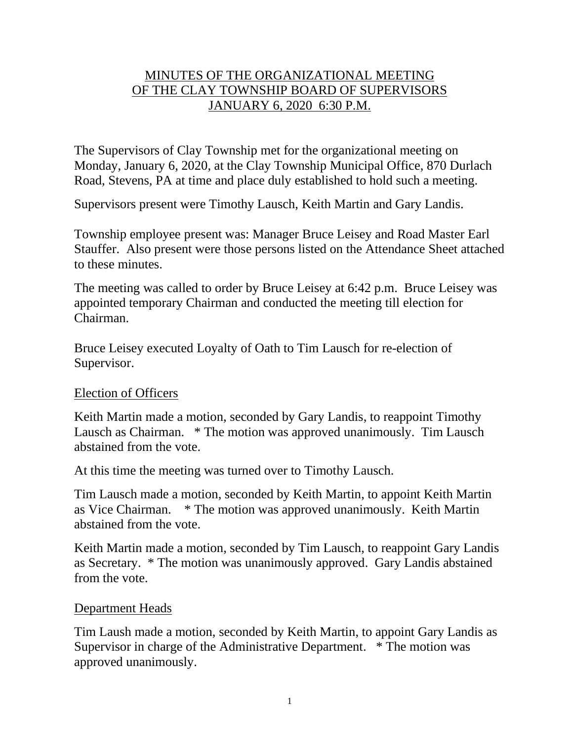# MINUTES OF THE ORGANIZATIONAL MEETING OF THE CLAY TOWNSHIP BOARD OF SUPERVISORS JANUARY 6, 2020 6:30 P.M.

The Supervisors of Clay Township met for the organizational meeting on Monday, January 6, 2020, at the Clay Township Municipal Office, 870 Durlach Road, Stevens, PA at time and place duly established to hold such a meeting.

Supervisors present were Timothy Lausch, Keith Martin and Gary Landis.

Township employee present was: Manager Bruce Leisey and Road Master Earl Stauffer. Also present were those persons listed on the Attendance Sheet attached to these minutes.

The meeting was called to order by Bruce Leisey at 6:42 p.m. Bruce Leisey was appointed temporary Chairman and conducted the meeting till election for Chairman.

Bruce Leisey executed Loyalty of Oath to Tim Lausch for re-election of Supervisor.

## Election of Officers

Keith Martin made a motion, seconded by Gary Landis, to reappoint Timothy Lausch as Chairman. \* The motion was approved unanimously. Tim Lausch abstained from the vote.

At this time the meeting was turned over to Timothy Lausch.

Tim Lausch made a motion, seconded by Keith Martin, to appoint Keith Martin as Vice Chairman. \* The motion was approved unanimously. Keith Martin abstained from the vote.

Keith Martin made a motion, seconded by Tim Lausch, to reappoint Gary Landis as Secretary. \* The motion was unanimously approved. Gary Landis abstained from the vote.

## Department Heads

Tim Laush made a motion, seconded by Keith Martin, to appoint Gary Landis as Supervisor in charge of the Administrative Department. \* The motion was approved unanimously.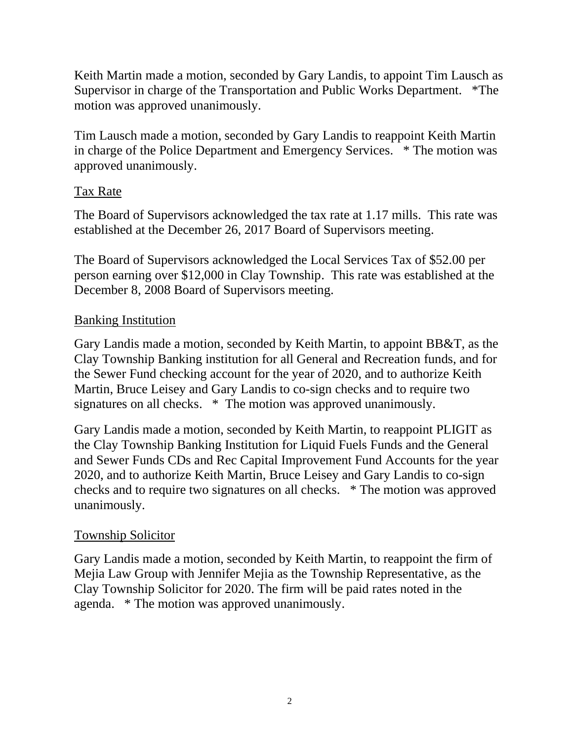Keith Martin made a motion, seconded by Gary Landis, to appoint Tim Lausch as Supervisor in charge of the Transportation and Public Works Department. \*The motion was approved unanimously.

Tim Lausch made a motion, seconded by Gary Landis to reappoint Keith Martin in charge of the Police Department and Emergency Services. \* The motion was approved unanimously.

## Tax Rate

The Board of Supervisors acknowledged the tax rate at 1.17 mills. This rate was established at the December 26, 2017 Board of Supervisors meeting.

The Board of Supervisors acknowledged the Local Services Tax of \$52.00 per person earning over \$12,000 in Clay Township. This rate was established at the December 8, 2008 Board of Supervisors meeting.

## **Banking Institution**

Gary Landis made a motion, seconded by Keith Martin, to appoint BB&T, as the Clay Township Banking institution for all General and Recreation funds, and for the Sewer Fund checking account for the year of 2020, and to authorize Keith Martin, Bruce Leisey and Gary Landis to co-sign checks and to require two signatures on all checks. \* The motion was approved unanimously.

Gary Landis made a motion, seconded by Keith Martin, to reappoint PLIGIT as the Clay Township Banking Institution for Liquid Fuels Funds and the General and Sewer Funds CDs and Rec Capital Improvement Fund Accounts for the year 2020, and to authorize Keith Martin, Bruce Leisey and Gary Landis to co-sign checks and to require two signatures on all checks. \* The motion was approved unanimously.

## Township Solicitor

Gary Landis made a motion, seconded by Keith Martin, to reappoint the firm of Mejia Law Group with Jennifer Mejia as the Township Representative, as the Clay Township Solicitor for 2020. The firm will be paid rates noted in the agenda. \* The motion was approved unanimously.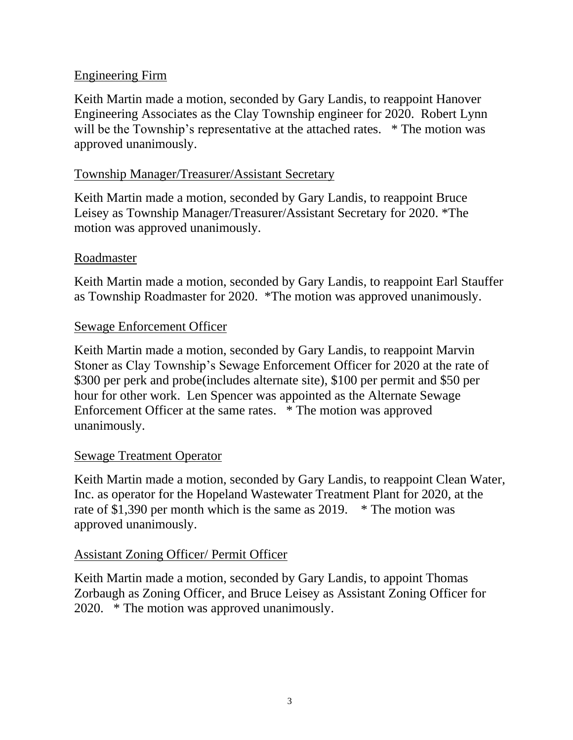## Engineering Firm

Keith Martin made a motion, seconded by Gary Landis, to reappoint Hanover Engineering Associates as the Clay Township engineer for 2020. Robert Lynn will be the Township's representative at the attached rates. \* The motion was approved unanimously.

# Township Manager/Treasurer/Assistant Secretary

Keith Martin made a motion, seconded by Gary Landis, to reappoint Bruce Leisey as Township Manager/Treasurer/Assistant Secretary for 2020. \*The motion was approved unanimously.

## Roadmaster

Keith Martin made a motion, seconded by Gary Landis, to reappoint Earl Stauffer as Township Roadmaster for 2020. \*The motion was approved unanimously.

## Sewage Enforcement Officer

Keith Martin made a motion, seconded by Gary Landis, to reappoint Marvin Stoner as Clay Township's Sewage Enforcement Officer for 2020 at the rate of \$300 per perk and probe(includes alternate site), \$100 per permit and \$50 per hour for other work. Len Spencer was appointed as the Alternate Sewage Enforcement Officer at the same rates. \* The motion was approved unanimously.

## Sewage Treatment Operator

Keith Martin made a motion, seconded by Gary Landis, to reappoint Clean Water, Inc. as operator for the Hopeland Wastewater Treatment Plant for 2020, at the rate of \$1,390 per month which is the same as 2019. \* The motion was approved unanimously.

## Assistant Zoning Officer/ Permit Officer

Keith Martin made a motion, seconded by Gary Landis, to appoint Thomas Zorbaugh as Zoning Officer, and Bruce Leisey as Assistant Zoning Officer for 2020. \* The motion was approved unanimously.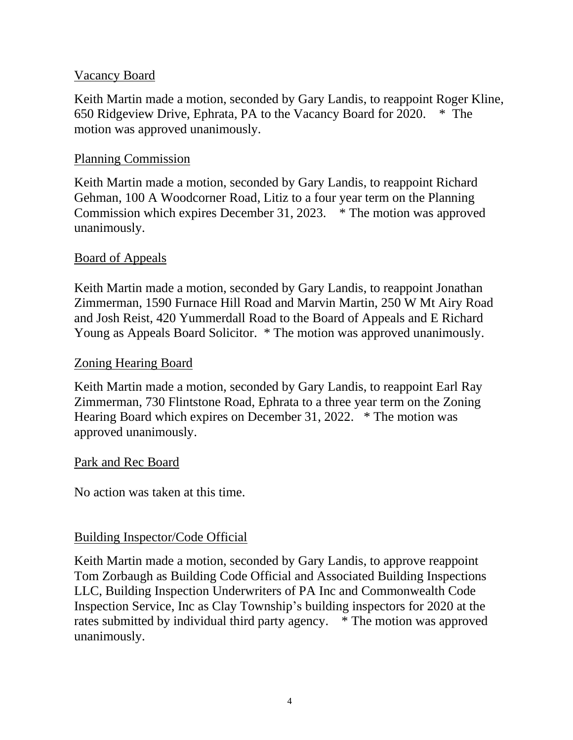## Vacancy Board

Keith Martin made a motion, seconded by Gary Landis, to reappoint Roger Kline, 650 Ridgeview Drive, Ephrata, PA to the Vacancy Board for 2020. \* The motion was approved unanimously.

### Planning Commission

Keith Martin made a motion, seconded by Gary Landis, to reappoint Richard Gehman, 100 A Woodcorner Road, Litiz to a four year term on the Planning Commission which expires December 31, 2023. \* The motion was approved unanimously.

## Board of Appeals

Keith Martin made a motion, seconded by Gary Landis, to reappoint Jonathan Zimmerman, 1590 Furnace Hill Road and Marvin Martin, 250 W Mt Airy Road and Josh Reist, 420 Yummerdall Road to the Board of Appeals and E Richard Young as Appeals Board Solicitor. \* The motion was approved unanimously.

### Zoning Hearing Board

Keith Martin made a motion, seconded by Gary Landis, to reappoint Earl Ray Zimmerman, 730 Flintstone Road, Ephrata to a three year term on the Zoning Hearing Board which expires on December 31, 2022. \* The motion was approved unanimously.

### Park and Rec Board

No action was taken at this time.

## Building Inspector/Code Official

Keith Martin made a motion, seconded by Gary Landis, to approve reappoint Tom Zorbaugh as Building Code Official and Associated Building Inspections LLC, Building Inspection Underwriters of PA Inc and Commonwealth Code Inspection Service, Inc as Clay Township's building inspectors for 2020 at the rates submitted by individual third party agency. \* The motion was approved unanimously.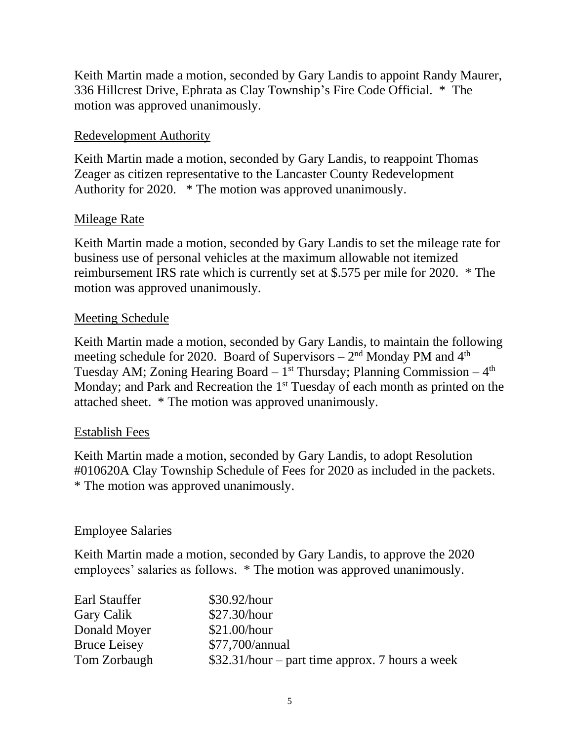Keith Martin made a motion, seconded by Gary Landis to appoint Randy Maurer, 336 Hillcrest Drive, Ephrata as Clay Township's Fire Code Official. \* The motion was approved unanimously.

## Redevelopment Authority

Keith Martin made a motion, seconded by Gary Landis, to reappoint Thomas Zeager as citizen representative to the Lancaster County Redevelopment Authority for 2020. \* The motion was approved unanimously.

## **Mileage Rate**

Keith Martin made a motion, seconded by Gary Landis to set the mileage rate for business use of personal vehicles at the maximum allowable not itemized reimbursement IRS rate which is currently set at \$.575 per mile for 2020. \* The motion was approved unanimously.

## Meeting Schedule

Keith Martin made a motion, seconded by Gary Landis, to maintain the following meeting schedule for 2020. Board of Supervisors  $-2<sup>nd</sup>$  Monday PM and  $4<sup>th</sup>$ Tuesday AM; Zoning Hearing Board  $-1$ <sup>st</sup> Thursday; Planning Commission  $-4<sup>th</sup>$ Monday; and Park and Recreation the 1<sup>st</sup> Tuesday of each month as printed on the attached sheet. \* The motion was approved unanimously.

## Establish Fees

Keith Martin made a motion, seconded by Gary Landis, to adopt Resolution #010620A Clay Township Schedule of Fees for 2020 as included in the packets. \* The motion was approved unanimously.

## Employee Salaries

Keith Martin made a motion, seconded by Gary Landis, to approve the 2020 employees' salaries as follows. \* The motion was approved unanimously.

| Earl Stauffer       | \$30.92/hour                                     |
|---------------------|--------------------------------------------------|
| Gary Calik          | \$27.30/hour                                     |
| Donald Moyer        | \$21.00/hour                                     |
| <b>Bruce Leisey</b> | \$77,700/annual                                  |
| Tom Zorbaugh        | $$32.31/hour$ – part time approx. 7 hours a week |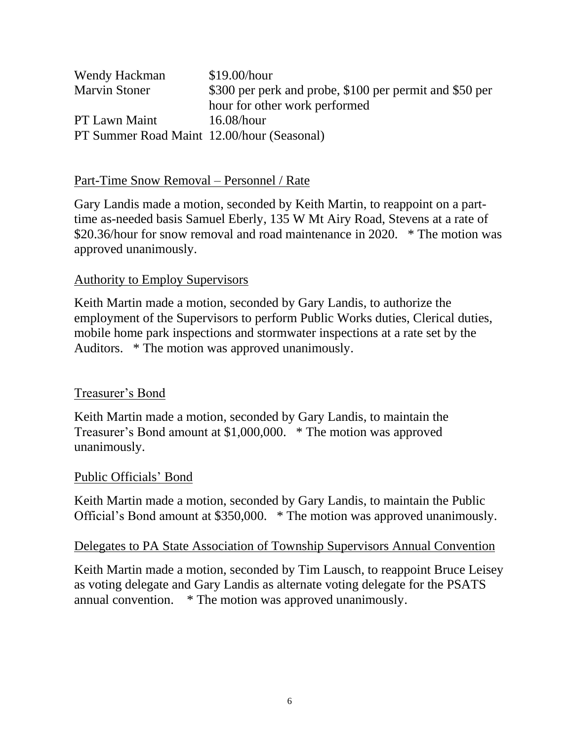| Wendy Hackman                              | \$19.00/hour                                            |
|--------------------------------------------|---------------------------------------------------------|
| <b>Marvin Stoner</b>                       | \$300 per perk and probe, \$100 per permit and \$50 per |
|                                            | hour for other work performed                           |
| <b>PT Lawn Maint</b>                       | $16.08/h$ our                                           |
| PT Summer Road Maint 12.00/hour (Seasonal) |                                                         |

### Part-Time Snow Removal – Personnel / Rate

Gary Landis made a motion, seconded by Keith Martin, to reappoint on a parttime as-needed basis Samuel Eberly, 135 W Mt Airy Road, Stevens at a rate of \$20.36/hour for snow removal and road maintenance in 2020. \* The motion was approved unanimously.

### Authority to Employ Supervisors

Keith Martin made a motion, seconded by Gary Landis, to authorize the employment of the Supervisors to perform Public Works duties, Clerical duties, mobile home park inspections and stormwater inspections at a rate set by the Auditors. \* The motion was approved unanimously.

### Treasurer's Bond

Keith Martin made a motion, seconded by Gary Landis, to maintain the Treasurer's Bond amount at \$1,000,000. \* The motion was approved unanimously.

### Public Officials' Bond

Keith Martin made a motion, seconded by Gary Landis, to maintain the Public Official's Bond amount at \$350,000. \* The motion was approved unanimously.

### Delegates to PA State Association of Township Supervisors Annual Convention

Keith Martin made a motion, seconded by Tim Lausch, to reappoint Bruce Leisey as voting delegate and Gary Landis as alternate voting delegate for the PSATS annual convention. \* The motion was approved unanimously.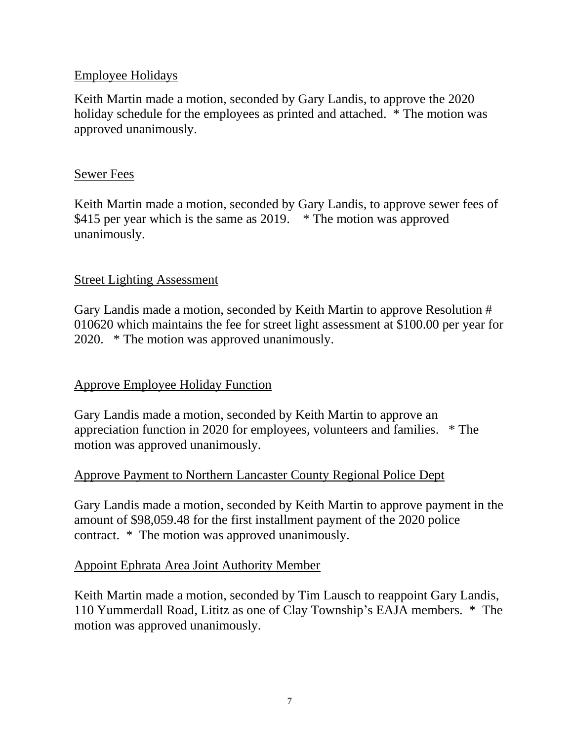## Employee Holidays

Keith Martin made a motion, seconded by Gary Landis, to approve the 2020 holiday schedule for the employees as printed and attached. \* The motion was approved unanimously.

## Sewer Fees

Keith Martin made a motion, seconded by Gary Landis, to approve sewer fees of \$415 per year which is the same as 2019. \* The motion was approved unanimously.

## Street Lighting Assessment

Gary Landis made a motion, seconded by Keith Martin to approve Resolution # 010620 which maintains the fee for street light assessment at \$100.00 per year for 2020. \* The motion was approved unanimously.

## Approve Employee Holiday Function

Gary Landis made a motion, seconded by Keith Martin to approve an appreciation function in 2020 for employees, volunteers and families. \* The motion was approved unanimously.

## Approve Payment to Northern Lancaster County Regional Police Dept

Gary Landis made a motion, seconded by Keith Martin to approve payment in the amount of \$98,059.48 for the first installment payment of the 2020 police contract. \* The motion was approved unanimously.

## Appoint Ephrata Area Joint Authority Member

Keith Martin made a motion, seconded by Tim Lausch to reappoint Gary Landis, 110 Yummerdall Road, Lititz as one of Clay Township's EAJA members. \* The motion was approved unanimously.